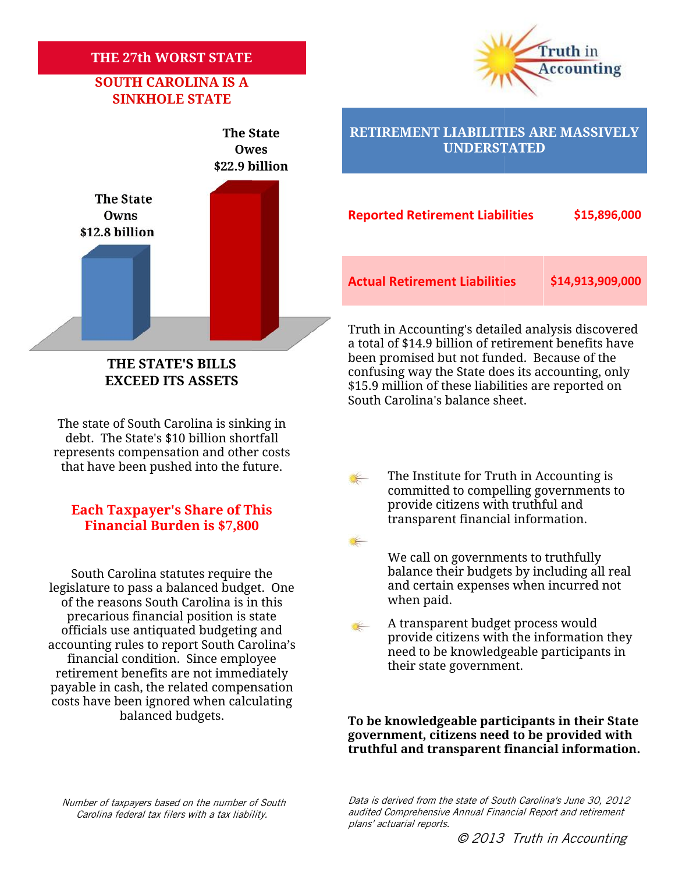### **THE 27th WORST STATE WORST STATE**

### **SOUTH CAROLINA IS A SINKHOLE STATE**





### **THE STATE'S BILLS EXCEED ITS ASSETS**

The state of South Carolina is sinking in debt. The State's \$10 billion shortfall represents compensation and other costs that have been pushed into the future.

#### **Financial Burden is \$7,800 Each Taxpayer's Share of This**

South Carolina statutes require the legislature to pass a balanced budget. One of the reasons South Carolina is in this precarious financial position is state officials use antiquated budgeting and accounting rules to report South Carolina's financial condition. Since employee retirement benefits are not immediately payable in cash, the related compensation costs have been ignored when calculating balanced budgets. of the reasons South Carolina i<br>precarious financial position<br>officials use antiquated budget<br>counting rules to report South<br>financial condition. Since em<br>etirement benefits are not imn<br>yable in cash, the related com

#### **RETIREMENT LIABILITIES ARE MASSIVELY UNDERSTATED**

| he State<br>Owns<br><b>8 billion</b> | <b>Reported Retirement Liabilities</b> | \$15,896,000     |
|--------------------------------------|----------------------------------------|------------------|
|                                      | <b>Actual Retirement Liabilities</b>   | \$14,913,909,000 |

Truth in Accounting's detailed analysis discovered a total of \$14.9 billion of retirement benefits have been promised but not funded. Because of the confusing way the State does its accounting, only \$15.9 million of these liabilities are reported on South Carolina's balance sheet. Truth in Accounting's detailed analysis discovere<br>a total of \$14.9 billion of retirement benefits have<br>been promised but not funded. Because of the<br>EXCEED ITS ASSETS<br>EXCEED ITS ASSETS<br> $$159$  million of these liabilities ar

- $\leftarrow$  The Institute for Truth in Accounting is committed to compelling governments to provide citizens with truthful and transparent financial information.
	- We call on governments to truthfully balance their budgets by including all real We call on governments to truthfully<br>balance their budgets by including all real<br>and certain expenses when incurred not when paid.
	- A transparent budget process would provide citizens with the information they need to be knowledgeable participants in their state government.

#### **To be knowledgeable participants in their State government, citizens need to be provided with** To be knowledgeable participants in their State<br>government, citizens need to be provided with<br>truthful and transparent financial information.

*Number of taxpayers based on the number of South Carolina federal tax filers with a tax liability. of taxpayers with* 

*Data is derived from the state of South Carolina's June 30, 2012 audited Comprehensive Annual Financial Report and retirement state Financial plans' actuarial reports.*